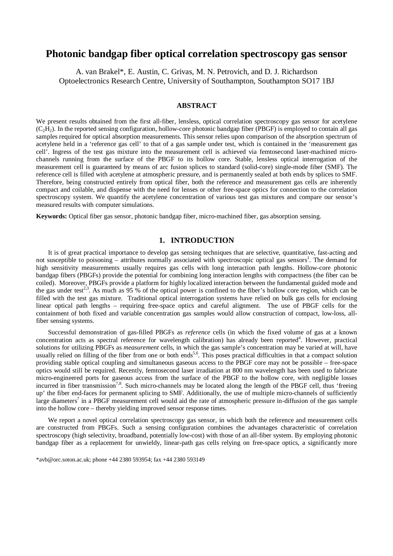# **Photonic bandgap fiber optical correlation spectroscopy gas sensor**

A. van Brakel\*, E. Austin, C. Grivas, M. N. Petrovich, and D. J. Richardson Optoelectronics Research Centre, University of Southampton, Southampton SO17 1BJ

## **ABSTRACT**

We present results obtained from the first all-fiber, lensless, optical correlation spectroscopy gas sensor for acetylene  $(C<sub>2</sub>H<sub>2</sub>)$ . In the reported sensing configuration, hollow-core photonic bandgap fiber (PBGF) is employed to contain all gas samples required for optical absorption measurements. This sensor relies upon comparison of the absorption spectrum of acetylene held in a 'reference gas cell' to that of a gas sample under test, which is contained in the 'measurement gas cell'. Ingress of the test gas mixture into the measurement cell is achieved via femtosecond laser-machined microchannels running from the surface of the PBGF to its hollow core. Stable, lensless optical interrogation of the measurement cell is guaranteed by means of arc fusion splices to standard (solid-core) single-mode fiber (SMF). The reference cell is filled with acetylene at atmospheric pressure, and is permanently sealed at both ends by splices to SMF. Therefore, being constructed entirely from optical fiber, both the reference and measurement gas cells are inherently compact and coilable, and dispense with the need for lenses or other free-space optics for connection to the correlation spectroscopy system. We quantify the acetylene concentration of various test gas mixtures and compare our sensor's measured results with computer simulations.

**Keywords:** Optical fiber gas sensor, photonic bandgap fiber, micro-machined fiber, gas absorption sensing.

### **1. INTRODUCTION**

It is of great practical importance to develop gas sensing techniques that are selective, quantitative, fast-acting and not susceptible to poisoning – attributes normally associated with spectroscopic optical gas sensors<sup>1</sup>. The demand for high sensitivity measurements usually requires gas cells with long interaction path lengths. Hollow-core photonic bandgap fibers (PBGFs) provide the potential for combining long interaction lengths with compactness (the fiber can be coiled). Moreover, PBGFs provide a platform for highly localized interaction between the fundamental guided mode and the gas under test<sup>2,3</sup>. As much as 95 % of the optical power is confined to the fiber's hollow core region, which can be filled with the test gas mixture. Traditional optical interrogation systems have relied on bulk gas cells for enclosing linear optical path lengths – requiring free-space optics and careful alignment. The use of PBGF cells for the containment of both fixed and variable concentration gas samples would allow construction of compact, low-loss, allfiber sensing systems.

Successful demonstration of gas-filled PBGFs as *reference* cells (in which the fixed volume of gas at a known concentration acts as spectral reference for wavelength calibration) has already been reported<sup>4</sup>. However, practical solutions for utilizing PBGFs as *measurement* cells*,* in which the gas sample's concentration may be varied at will, have usually relied on filling of the fiber from one or both ends<sup>5,6</sup>. This poses practical difficulties in that a compact solution providing stable optical coupling and simultaneous gaseous access to the PBGF core may not be possible – free-space optics would still be required. Recently, femtosecond laser irradiation at 800 nm wavelength has been used to fabricate micro-engineered ports for gaseous access from the surface of the PBGF to the hollow core, with negligible losses incurred in fiber transmission<sup>7,8</sup>. Such micro-channels may be located along the length of the PBGF cell, thus 'freeing up' the fiber end-faces for permanent splicing to SMF. Additionally, the use of multiple micro-channels of sufficiently large diameters<sup>7</sup> in a PBGF measurement cell would aid the rate of atmospheric pressure in-diffusion of the gas sample into the hollow core – thereby yielding improved sensor response times.

We report a novel optical correlation spectroscopy gas sensor, in which both the reference and measurement cells are constructed from PBGFs. Such a sensing configuration combines the advantages characteristic of correlation spectroscopy (high selectivity, broadband, potentially low-cost) with those of an all-fiber system. By employing photonic bandgap fiber as a replacement for unwieldy, linear-path gas cells relying on free-space optics, a significantly more

\*avb@orc.soton.ac.uk; phone +44 2380 593954; fax +44 2380 593149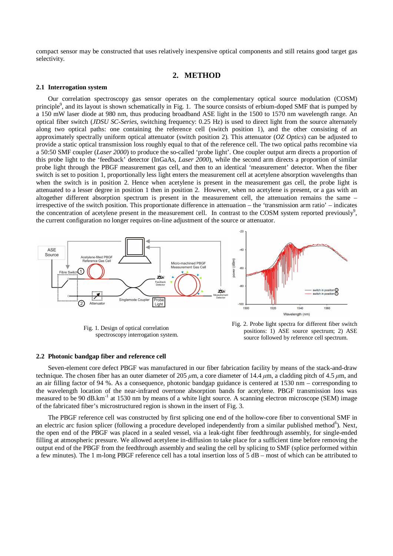compact sensor may be constructed that uses relatively inexpensive optical components and still retains good target gas selectivity.

## **2. METHOD**

#### **2.1 Interrogation system**

Our correlation spectroscopy gas sensor operates on the complementary optical source modulation (COSM) principle<sup>9</sup>, and its layout is shown schematically in Fig. 1. The source consists of erbium-doped SMF that is pumped by a 150 mW laser diode at 980 nm, thus producing broadband ASE light in the 1500 to 1570 nm wavelength range. An optical fiber switch (*JDSU SC-Series*, switching frequency: 0.25 Hz) is used to direct light from the source alternately along two optical paths: one containing the reference cell (switch position 1), and the other consisting of an approximately spectrally uniform optical attenuator (switch position 2). This attenuator (*OZ Optics*) can be adjusted to provide a static optical transmission loss roughly equal to that of the reference cell. The two optical paths recombine via a 50:50 SMF coupler (*Laser 2000*) to produce the so-called 'probe light'. One coupler output arm directs a proportion of this probe light to the 'feedback' detector (InGaAs, *Laser 2000*), while the second arm directs a proportion of similar probe light through the PBGF measurement gas cell, and then to an identical 'measurement' detector. When the fiber switch is set to position 1, proportionally less light enters the measurement cell at acetylene absorption wavelengths than when the switch is in position 2. Hence when acetylene is present in the measurement gas cell, the probe light is attenuated to a lesser degree in position 1 then in position 2. However, when no acetylene is present, or a gas with an altogether different absorption spectrum is present in the measurement cell, the attenuation remains the same – irrespective of the switch position. This proportionate difference in attenuation – the 'transmission arm ratio' – indicates the concentration of acetylene present in the measurement cell. In contrast to the COSM system reported previously $9$ , the current configuration no longer requires on-line adjustment of the source or attenuator.



spectroscopy interrogation system.

positions: 1) ASE source spectrum; 2) ASE source followed by reference cell spectrum.

#### **2.2 Photonic bandgap fiber and reference cell**

Seven-element core defect PBGF was manufactured in our fiber fabrication facility by means of the stack-and-draw technique. The chosen fiber has an outer diameter of 205  $\mu$ m, a core diameter of 14.4  $\mu$ m, a cladding pitch of 4.5  $\mu$ m, and an air filling factor of 94 %. As a consequence, photonic bandgap guidance is centered at 1530 nm – corresponding to the wavelength location of the near-infrared overtone absorption bands for acetylene. PBGF transmission loss was measured to be 90 dB.km<sup>-1</sup> at 1530 nm by means of a white light source. A scanning electron microscope (SEM) image of the fabricated fiber's microstructured region is shown in the insert of Fig. 3.

The PBGF reference cell was constructed by first splicing one end of the hollow-core fiber to conventional SMF in an electric arc fusion splicer (following a procedure developed independently from a similar published method<sup>6</sup>). Next, the open end of the PBGF was placed in a sealed vessel, via a leak-tight fiber feedthrough assembly, for single-ended filling at atmospheric pressure. We allowed acetylene in-diffusion to take place for a sufficient time before removing the output end of the PBGF from the feedthrough assembly and sealing the cell by splicing to SMF (splice performed within a few minutes). The 1 m-long PBGF reference cell has a total insertion loss of 5 dB – most of which can be attributed to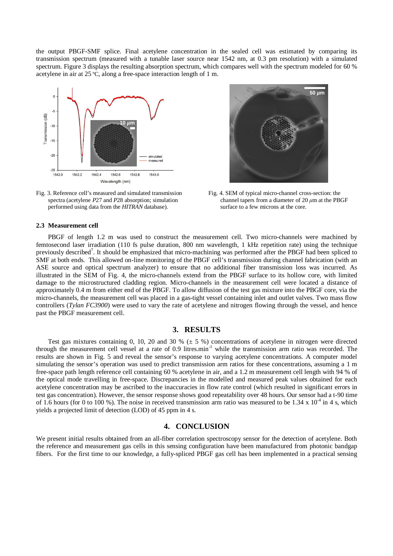the output PBGF-SMF splice. Final acetylene concentration in the sealed cell was estimated by comparing its transmission spectrum (measured with a tunable laser source near 1542 nm, at 0.3 pm resolution) with a simulated spectrum. Figure 3 displays the resulting absorption spectrum, which compares well with the spectrum modeled for 60 % acetylene in air at 25 ºC, along a free-space interaction length of 1 m.







Fig. 4. SEM of typical micro-channel cross-section: the channel tapers from a diameter of 20  $\mu$ m at the PBGF surface to a few microns at the core.

#### **2.3 Measurement cell**

PBGF of length 1.2 m was used to construct the measurement cell. Two micro-channels were machined by femtosecond laser irradiation (110 fs pulse duration, 800 nm wavelength, 1 kHz repetition rate) using the technique previously described<sup>7</sup>. It should be emphasized that micro-machining was performed after the PBGF had been spliced to SMF at both ends. This allowed on-line monitoring of the PBGF cell's transmission during channel fabrication (with an ASE source and optical spectrum analyzer) to ensure that no additional fiber transmission loss was incurred. As illustrated in the SEM of Fig. 4, the micro-channels extend from the PBGF surface to its hollow core, with limited damage to the microstructured cladding region. Micro-channels in the measurement cell were located a distance of approximately 0.4 m from either end of the PBGF. To allow diffusion of the test gas mixture into the PBGF core, via the micro-channels, the measurement cell was placed in a gas-tight vessel containing inlet and outlet valves. Two mass flow controllers (*Tylan FC3900*) were used to vary the rate of acetylene and nitrogen flowing through the vessel, and hence past the PBGF measurement cell.

### **3. RESULTS**

Test gas mixtures containing 0, 10, 20 and 30 %  $(\pm 5 \%)$  concentrations of acetylene in nitrogen were directed through the measurement cell vessel at a rate of  $0.9$  litres.min<sup>-1</sup> while the transmission arm ratio was recorded. The results are shown in Fig. 5 and reveal the sensor's response to varying acetylene concentrations. A computer model simulating the sensor's operation was used to predict transmission arm ratios for these concentrations, assuming a 1 m free-space path length reference cell containing 60 % acetylene in air, and a 1.2 m measurement cell length with 94 % of the optical mode travelling in free-space. Discrepancies in the modelled and measured peak values obtained for each acetylene concentration may be ascribed to the inaccuracies in flow rate control (which resulted in significant errors in test gas concentration). However, the sensor response shows good repeatability over 48 hours. Our sensor had a t-90 time of 1.6 hours (for 0 to 100 %). The noise in received transmission arm ratio was measured to be  $1.34 \times 10^4$  in 4 s, which yields a projected limit of detection (LOD) of 45 ppm in 4 s.

## **4. CONCLUSION**

We present initial results obtained from an all-fiber correlation spectroscopy sensor for the detection of acetylene. Both the reference and measurement gas cells in this sensing configuration have been manufactured from photonic bandgap fibers. For the first time to our knowledge, a fully-spliced PBGF gas cell has been implemented in a practical sensing